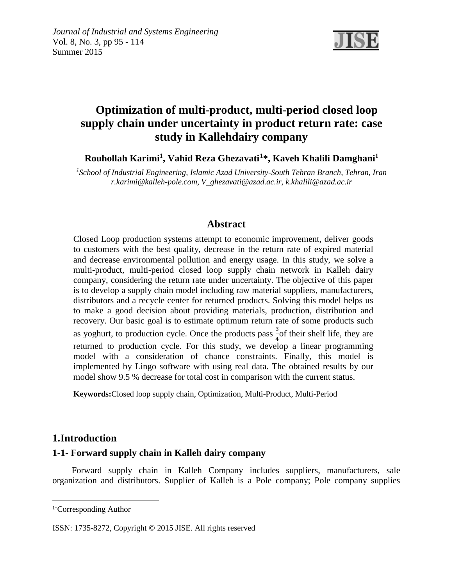

# **Optimization of multi-product, multi-period closed loop supply chain under uncertainty in product return rate: case study in Kallehdairy company**

**Rouhollah Karimi1 , Vahid Reza Ghezavati[1](#page-0-0) \*, Kaveh Khalili Damghani1**

*1 School of Industrial Engineering, Islamic Azad University-South Tehran Branch, Tehran, Iran r.karimi@kalleh-pole.com, V\_ghezavati@azad.ac.ir, k.khalili@azad.ac.ir*

## **Abstract**

Closed Loop production systems attempt to economic improvement, deliver goods to customers with the best quality, decrease in the return rate of expired material and decrease environmental pollution and energy usage. In this study, we solve a multi-product, multi-period closed loop supply chain network in Kalleh dairy company, considering the return rate under uncertainty. The objective of this paper is to develop a supply chain model including raw material suppliers, manufacturers, distributors and a recycle center for returned products. Solving this model helps us to make a good decision about providing materials, production, distribution and recovery. Our basic goal is to estimate optimum return rate of some products such as yoghurt, to production cycle. Once the products pass  $\frac{3}{4}$  of their shelf life, they are  $r \rightarrow 4$ <br>returned to production cycle. For this study, we develop a linear programming model with a consideration of chance constraints. Finally, this model is implemented by Lingo software with using real data. The obtained results by our model show 9.5 % decrease for total cost in comparison with the current status.

**Keywords:**Closed loop supply chain, Optimization, Multi-Product, Multi-Period

## **1.Introduction**

### **1-1- Forward supply chain in Kalleh dairy company**

 Forward supply chain in Kalleh Company includes suppliers, manufacturers, sale organization and distributors. Supplier of Kalleh is a Pole company; Pole company supplies

 $\overline{a}$ 

<span id="page-0-0"></span><sup>1\*</sup> Corresponding Author

ISSN: 1735-8272, Copyright © 2015 JISE. All rights reserved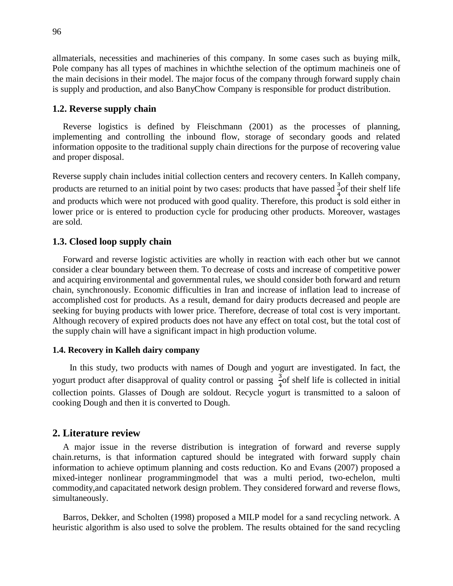allmaterials, necessities and machineries of this company. In some cases such as buying milk, Pole company has all types of machines in whichthe selection of the optimum machineis one of the main decisions in their model. The major focus of the company through forward supply chain is supply and production, and also BanyChow Company is responsible for product distribution.

#### **1.2. Reverse supply chain**

Reverse logistics is defined by Fleischmann (2001) as the processes of planning, implementing and controlling the inbound flow, storage of secondary goods and related information opposite to the traditional supply chain directions for the purpose of recovering value and proper disposal.

Reverse supply chain includes initial collection centers and recovery centers. In Kalleh company, products are returned to an initial point by two cases: products that have passed  $\frac{3}{4}$  of their shelf life and products which were not produced with good quality. Therefore, this product is sold either in lower price or is entered to production cycle for producing other products. Moreover, wastages are sold.

#### **1.3. Closed loop supply chain**

Forward and reverse logistic activities are wholly in reaction with each other but we cannot consider a clear boundary between them. To decrease of costs and increase of competitive power and acquiring environmental and governmental rules, we should consider both forward and return chain, synchronously. Economic difficulties in Iran and increase of inflation lead to increase of accomplished cost for products. As a result, demand for dairy products decreased and people are seeking for buying products with lower price. Therefore, decrease of total cost is very important. Although recovery of expired products does not have any effect on total cost, but the total cost of the supply chain will have a significant impact in high production volume.

#### **1.4. Recovery in Kalleh dairy company**

 In this study, two products with names of Dough and yogurt are investigated. In fact, the yogurt product after disapproval of quality control or passing  $\frac{3}{7}$  of shelf life is collected in initial collection points. Glasses of Dough are soldout. Recycle yogurt is transmitted to a saloon of cooking Dough and then it is converted to Dough.

#### **2. Literature review**

A major issue in the reverse distribution is integration of forward and reverse supply chain.returns, is that information captured should be integrated with forward supply chain information to achieve optimum planning and costs reduction. Ko and Evans (2007) proposed a mixed-integer nonlinear programmingmodel that was a multi period, two-echelon, multi commodity,and capacitated network design problem. They considered forward and reverse flows, simultaneously.

Barros, Dekker, and Scholten (1998) proposed a MILP model for a sand recycling network. A heuristic algorithm is also used to solve the problem. The results obtained for the sand recycling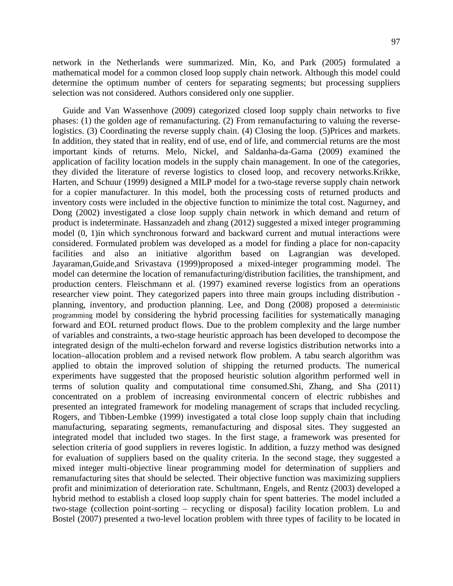network in the Netherlands were summarized. Min, Ko, and Park (2005) formulated a mathematical model for a common closed loop supply chain network. Although this model could determine the optimum number of centers for separating segments; but processing suppliers selection was not considered. Authors considered only one supplier.

Guide and Van Wassenhove (2009) categorized closed loop supply chain networks to five phases: (1) the golden age of remanufacturing. (2) From remanufacturing to valuing the reverselogistics. (3) Coordinating the reverse supply chain. (4) Closing the loop. (5)Prices and markets. In addition, they stated that in reality, end of use, end of life, and commercial returns are the most important kinds of returns. Melo, Nickel, and Saldanha-da-Gama (2009) examined the application of facility location models in the supply chain management. In one of the categories, they divided the literature of reverse logistics to closed loop, and recovery networks.Krikke, Harten, and Schuur (1999) designed a MILP model for a two-stage reverse supply chain network for a copier manufacturer. In this model, both the processing costs of returned products and inventory costs were included in the objective function to minimize the total cost. Nagurney, and Dong (2002) investigated a close loop supply chain network in which demand and return of product is indeterminate. Hassanzadeh and zhang (2012) suggested a mixed integer programming model (0, 1)in which synchronous forward and backward current and mutual interactions were considered. Formulated problem was developed as a model for finding a place for non-capacity facilities and also an initiative algorithm based on Lagrangian was developed. Jayaraman,Guide,and Srivastava (1999)proposed a mixed-integer programming model. The model can determine the location of remanufacturing/distribution facilities, the transhipment, and production centers. Fleischmann et al. (1997) examined reverse logistics from an operations researcher view point. They categorized papers into three main groups including distribution planning, inventory, and production planning. Lee, and Dong (2008) proposed a deterministic programming model by considering the hybrid processing facilities for systematically managing forward and EOL returned product flows. Due to the problem complexity and the large number of variables and constraints, a two-stage heuristic approach has been developed to decompose the integrated design of the multi-echelon forward and reverse logistics distribution networks into a location–allocation problem and a revised network flow problem. A tabu search algorithm was applied to obtain the improved solution of shipping the returned products. The numerical experiments have suggested that the proposed heuristic solution algorithm performed well in terms of solution quality and computational time consumed.Shi, Zhang, and Sha (2011) concentrated on a problem of increasing environmental concern of electric rubbishes and presented an integrated framework for modeling management of scraps that included recycling. Rogers, and Tibben-Lembke (1999) investigated a total close loop supply chain that including manufacturing, separating segments, remanufacturing and disposal sites. They suggested an integrated model that included two stages. In the first stage, a framework was presented for selection criteria of good suppliers in reveres logistic. In addition, a fuzzy method was designed for evaluation of suppliers based on the quality criteria. In the second stage, they suggested a mixed integer multi-objective linear programming model for determination of suppliers and remanufacturing sites that should be selected. Their objective function was maximizing suppliers profit and minimization of deterioration rate. Schultmann, Engels, and Rentz (2003) developed a hybrid method to establish a closed loop supply chain for spent batteries. The model included a two-stage (collection point-sorting – recycling or disposal) facility location problem. Lu and Bostel (2007) presented a two-level location problem with three types of facility to be located in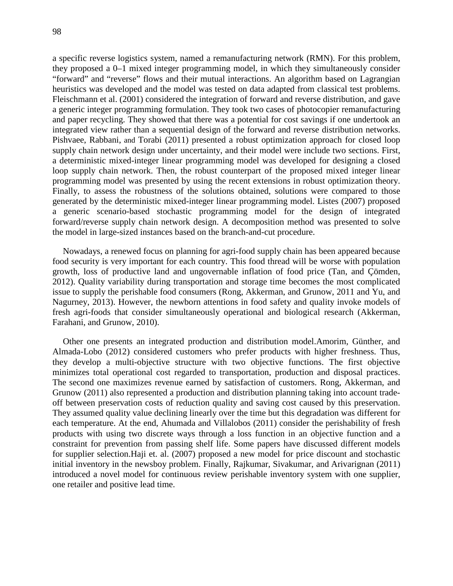a specific reverse logistics system, named a remanufacturing network (RMN). For this problem, they proposed a 0–1 mixed integer programming model, in which they simultaneously consider "forward" and "reverse" flows and their mutual interactions. An algorithm based on Lagrangian heuristics was developed and the model was tested on data adapted from classical test problems. Fleischmann et al. (2001) considered the integration of forward and reverse distribution, and gave a generic integer programming formulation. They took two cases of photocopier remanufacturing and paper recycling. They showed that there was a potential for cost savings if one undertook an integrated view rather than a sequential design of the forward and reverse distribution networks. Pishvaee, Rabbani, and Torabi (2011) presented a robust optimization approach for closed loop supply chain network design under uncertainty, and their model were include two sections. First, a deterministic mixed-integer linear programming model was developed for designing a closed loop supply chain network. Then, the robust counterpart of the proposed mixed integer linear programming model was presented by using the recent extensions in robust optimization theory. Finally, to assess the robustness of the solutions obtained, solutions were compared to those generated by the deterministic mixed-integer linear programming model. Listes (2007) proposed a generic scenario-based stochastic programming model for the design of integrated forward/reverse supply chain network design. A decomposition method was presented to solve the model in large-sized instances based on the branch-and-cut procedure.

Nowadays, a renewed focus on planning for agri-food supply chain has been appeared because food security is very important for each country. This food thread will be worse with population growth, loss of productive land and ungovernable inflation of food price (Tan, and Çömden, 2012). Quality variability during transportation and storage time becomes the most complicated issue to supply the perishable food consumers (Rong, Akkerman, and Grunow, 2011 and Yu, and Nagurney, 2013). However, the newborn attentions in food safety and quality invoke models of fresh agri-foods that consider simultaneously operational and biological research (Akkerman, Farahani, and Grunow, 2010).

Other one presents an integrated production and distribution model.Amorim, Günther, and Almada-Lobo (2012) considered customers who prefer products with higher freshness. Thus, they develop a multi-objective structure with two objective functions. The first objective minimizes total operational cost regarded to transportation, production and disposal practices. The second one maximizes revenue earned by satisfaction of customers. Rong, Akkerman, and Grunow (2011) also represented a production and distribution planning taking into account tradeoff between preservation costs of reduction quality and saving cost caused by this preservation. They assumed quality value declining linearly over the time but this degradation was different for each temperature. At the end, Ahumada and Villalobos (2011) consider the perishability of fresh products with using two discrete ways through a loss function in an objective function and a constraint for prevention from passing shelf life. Some papers have discussed different models for supplier selection.Haji et. al. (2007) proposed a new model for price discount and stochastic initial inventory in the newsboy problem. Finally, [Rajkumar,](http://jise.ir/?_action=article&au=37891&_au=M.++Rajkumar) [Sivakumar,](http://jise.ir/?_action=article&au=37892&_au=B.++Sivakumar) and [Arivarignan](http://jise.ir/?_action=article&au=37893&_au=G.++Arivarignan) (2011) introduced a novel model for continuous review perishable inventory system with one supplier, one retailer and positive lead time.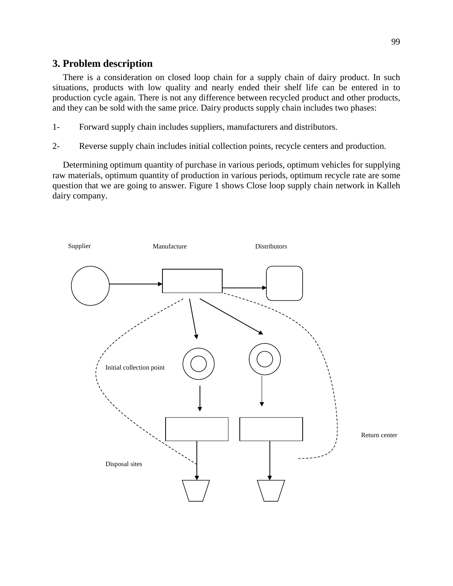## **3. Problem description**

There is a consideration on closed loop chain for a supply chain of dairy product. In such situations, products with low quality and nearly ended their shelf life can be entered in to production cycle again. There is not any difference between recycled product and other products, and they can be sold with the same price. Dairy products supply chain includes two phases:

- 1- Forward supply chain includes suppliers, manufacturers and distributors.
- 2- Reverse supply chain includes initial collection points, recycle centers and production.

Determining optimum quantity of purchase in various periods, optimum vehicles for supplying raw materials, optimum quantity of production in various periods, optimum recycle rate are some question that we are going to answer. Figure 1 shows Close loop supply chain network in Kalleh dairy company.

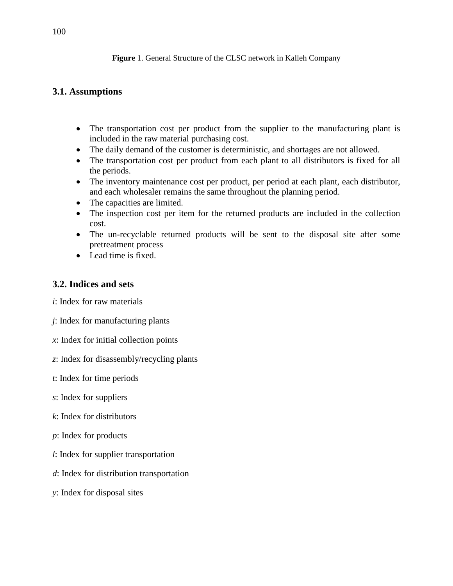#### **Figure** 1. General Structure of the CLSC network in Kalleh Company

## **3.1. Assumptions**

- The transportation cost per product from the supplier to the manufacturing plant is included in the raw material purchasing cost.
- The daily demand of the customer is deterministic, and shortages are not allowed.
- The transportation cost per product from each plant to all distributors is fixed for all the periods.
- The inventory maintenance cost per product, per period at each plant, each distributor, and each wholesaler remains the same throughout the planning period.
- The capacities are limited.
- The inspection cost per item for the returned products are included in the collection cost.
- The un-recyclable returned products will be sent to the disposal site after some pretreatment process
- Lead time is fixed.

### **3.2. Indices and sets**

*i*: Index for raw materials

- *j*: Index for manufacturing plants
- *x*: Index for initial collection points
- *z*: Index for disassembly/recycling plants
- *t*: Index for time periods
- *s*: Index for suppliers
- *k*: Index for distributors
- *p*: Index for products
- *l*: Index for supplier transportation
- *d*: Index for distribution transportation
- *y*: Index for disposal sites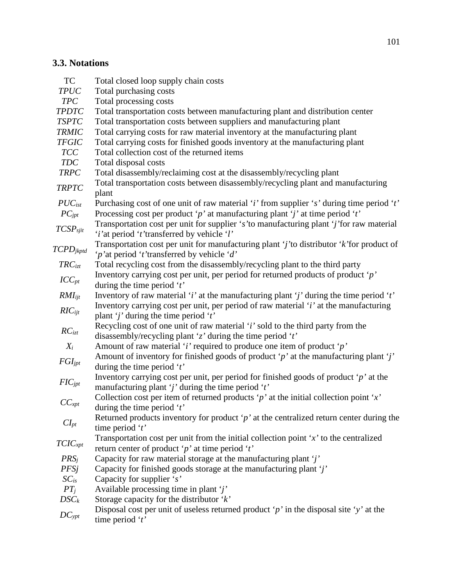# **3.3. Notations**

| <b>TC</b>               | Total closed loop supply chain costs                                                                                                                               |
|-------------------------|--------------------------------------------------------------------------------------------------------------------------------------------------------------------|
| <b>TPUC</b>             | Total purchasing costs                                                                                                                                             |
| <b>TPC</b>              | Total processing costs                                                                                                                                             |
| <b>TPDTC</b>            | Total transportation costs between manufacturing plant and distribution center                                                                                     |
| <b>TSPTC</b>            | Total transportation costs between suppliers and manufacturing plant                                                                                               |
| <b>TRMIC</b>            | Total carrying costs for raw material inventory at the manufacturing plant                                                                                         |
| <b>TFGIC</b>            | Total carrying costs for finished goods inventory at the manufacturing plant                                                                                       |
| <b>TCC</b>              | Total collection cost of the returned items                                                                                                                        |
| <b>TDC</b>              | Total disposal costs                                                                                                                                               |
| <b>TRPC</b>             | Total disassembly/reclaiming cost at the disassembly/recycling plant                                                                                               |
| <b>TRPTC</b>            | Total transportation costs between disassembly/recycling plant and manufacturing<br>plant                                                                          |
| $PUC_{ist}$             | Purchasing cost of one unit of raw material 'i' from supplier 's' during time period 't'                                                                           |
| $PC_{jpt}$              | Processing cost per product 'p' at manufacturing plant 'j' at time period 't'                                                                                      |
| TCSP <sub>sjit</sub>    | Transportation cost per unit for supplier 's' to manufacturing plant 'j' for raw material<br>' <i>i</i> 'at period ' <i>t</i> 'transferred by vehicle ' <i>l</i> ' |
| $\mathit{TCPD}_{jkptd}$ | Transportation cost per unit for manufacturing plant 'j' to distributor 'k' for product of<br>'p'at period 't'transferred by vehicle 'd'                           |
| $TRC_{izt}$             | Total recycling cost from the disassembly/recycling plant to the third party                                                                                       |
| $ICC_{pt}$              | Inventory carrying cost per unit, per period for returned products of product ' $p$ '<br>during the time period $t'$                                               |
| $RMI_{ijt}$             | Inventory of raw material 'i' at the manufacturing plant 'j' during the time period 't'                                                                            |
| $RIC_{ijt}$             | Inventory carrying cost per unit, per period of raw material ' <i>i</i> ' at the manufacturing<br>plant 'j' during the time period 't'                             |
| $RC_{izt}$              | Recycling cost of one unit of raw material 'i' sold to the third party from the<br>disassembly/recycling plant 'z' during the time period 't'                      |
| $X_i$                   | Amount of raw material 'i' required to produce one item of product 'p'                                                                                             |
|                         | Amount of inventory for finished goods of product 'p' at the manufacturing plant 'j'                                                                               |
| $FGI_{jpt}$             | during the time period $'t'$                                                                                                                                       |
| $FIC_{jpt}$             | Inventory carrying cost per unit, per period for finished goods of product ' $p$ ' at the<br>manufacturing plant 'j' during the time period ' $t$ '                |
| $CC_{xpt}$              | Collection cost per item of returned products 'p' at the initial collection point 'x'<br>during the time period $t'$                                               |
| $CI_{pt}$               | Returned products inventory for product ' $p$ ' at the centralized return center during the<br>time period ' $t$ '                                                 |
| TClC <sub>xpt</sub>     | Transportation cost per unit from the initial collection point $x'$ to the centralized<br>return center of product 'p' at time period 't'                          |
| PRS <sub>i</sub>        | Capacity for raw material storage at the manufacturing plant 'j'                                                                                                   |
| <b>PFSj</b>             | Capacity for finished goods storage at the manufacturing plant 'j'                                                                                                 |
| $SC_{is}$               | Capacity for supplier $'s'$                                                                                                                                        |
| $PT_i$                  | Available processing time in plant $j'$                                                                                                                            |
| $DSC_k$                 | Storage capacity for the distributor $k$                                                                                                                           |
| $DC_{ypt}$              | Disposal cost per unit of useless returned product 'p' in the disposal site 'y' at the<br>time period ' $t$ '                                                      |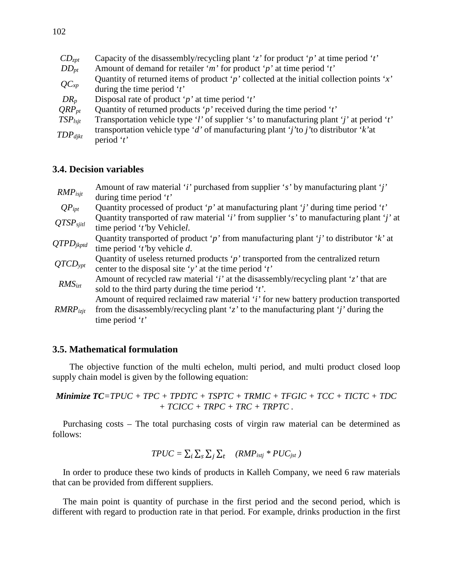| $CD_{zpt}$   | Capacity of the disassembly/recycling plant 'z' for product 'p' at time period 't'       |
|--------------|------------------------------------------------------------------------------------------|
| $DD_{pt}$    | Amount of demand for retailer 'm' for product 'p' at time period 't'                     |
|              | Quantity of returned items of product 'p' collected at the initial collection points 'x' |
| $QC_{xp}$    | during the time period $t'$                                                              |
| $DR_p$       | Disposal rate of product 'p' at time period 't'                                          |
| $QRP_{pt}$   | Quantity of returned products 'p' received during the time period 't'                    |
| $TSP_{lsjt}$ | Transportation vehicle type 'l' of supplier 's' to manufacturing plant 'j' at period 't' |
| $TDP_{dikt}$ | transportation vehicle type 'd' of manufacturing plant 'j'to j'to distributor 'k'at      |
|              | period ' $t$ '                                                                           |

## **3.4. Decision variables**

| $RMP_{isjt}$          | Amount of raw material 'i' purchased from supplier 's' by manufacturing plant 'j'<br>during time period $t'$                                                                                      |
|-----------------------|---------------------------------------------------------------------------------------------------------------------------------------------------------------------------------------------------|
| $QP_{ipt}$            | Quantity processed of product 'p' at manufacturing plant 'j' during time period 't'                                                                                                               |
| QTSP <sub>sjitl</sub> | Quantity transported of raw material 'i' from supplier 's' to manufacturing plant 'j' at<br>time period 't'by Vehiclel.                                                                           |
| $QTPD_{jkptd}$        | Quantity transported of product 'p' from manufacturing plant 'j' to distributor 'k' at<br>time period 't'by vehicle $d$ .                                                                         |
| QTCD <sub>ypt</sub>   | Quantity of useless returned products ' $p$ ' transported from the centralized return<br>center to the disposal site 'y' at the time period 't'                                                   |
| RMS <sub>izt</sub>    | Amount of recycled raw material ' <i>i</i> ' at the disassembly/recycling plant 'z' that are<br>sold to the third party during the time period $t$ .                                              |
| $RMRP_{izit}$         | Amount of required reclaimed raw material 'i' for new battery production transported<br>from the disassembly/recycling plant 'z' to the manufacturing plant 'j' during the<br>time period ' $t$ ' |

#### **3.5. Mathematical formulation**

 The objective function of the multi echelon, multi period, and multi product closed loop supply chain model is given by the following equation:

*Minimize TC=TPUC + TPC + TPDTC + TSPTC + TRMIC + TFGIC + TCC + TICTC + TDC + TCICC + TRPC + TRC + TRPTC .*

Purchasing costs – The total purchasing costs of virgin raw material can be determined as follows:

$$
TPUC = \sum_i \sum_s \sum_j \sum_t \quad (RMP_{isij} * PUC_{jst})
$$

In order to produce these two kinds of products in Kalleh Company, we need 6 raw materials that can be provided from different suppliers.

The main point is quantity of purchase in the first period and the second period, which is different with regard to production rate in that period. For example, drinks production in the first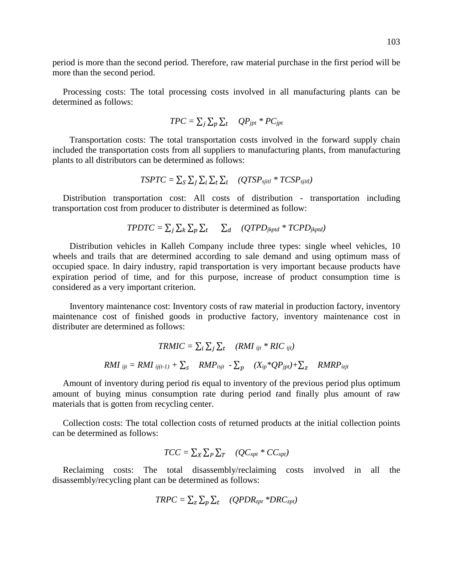period is more than the second period. Therefore, raw material purchase in the first period will be more than the second period.

Processing costs: The total processing costs involved in all manufacturing plants can be determined as follows:

$$
TPC = \sum_j \sum_p \sum_t QP_{jpt} * PC_{jpt}
$$

 Transportation costs: The total transportation costs involved in the forward supply chain included the transportation costs from all suppliers to manufacturing plants, from manufacturing plants to all distributors can be determined as follows:

$$
TSPTC = \sum_{S} \sum_{J} \sum_{i} \sum_{t} \sum_{l} (QTSP_{sjitl} * TCSP_{sjitl})
$$

Distribution transportation cost: All costs of distribution - transportation including transportation cost from producer to distributer is determined as follow:

$$
TPDTC = \sum_j \sum_k \sum_p \sum_t \sum_d (QTPD_{jkptd} * TCPD_{jkptd})
$$

 Distribution vehicles in Kalleh Company include three types: single wheel vehicles, 10 wheels and trails that are determined according to sale demand and using optimum mass of occupied space. In dairy industry, rapid transportation is very important because products have expiration period of time, and for this purpose, increase of product consumption time is considered as a very important criterion.

 Inventory maintenance cost: Inventory costs of raw material in production factory, inventory maintenance cost of finished goods in productive factory, inventory maintenance cost in distributer are determined as follows:

$$
TRMIC = \sum_{i} \sum_{j} \sum_{t} (RMI_{ijt} * RIC_{ijt})
$$
  
 
$$
RMI_{ijt} = RMI_{ij(t-1)} + \sum_{s} RMP_{isjt} - \sum_{p} (X_{ip} * QP_{jpt}) + \sum_{z} RMRP_{izjt}
$$

Amount of inventory during period *t*is equal to inventory of the previous period plus optimum amount of buying minus consumption rate during period *t*and finally plus amount of raw materials that is gotten from recycling center.

Collection costs: The total collection costs of returned products at the initial collection points can be determined as follows:

$$
TCC = \sum_{X} \sum_{P} \sum_{T} \quad (QC_{xpt} * CC_{xpt})
$$

Reclaiming costs: The total disassembly/reclaiming costs involved in all the disassembly/recycling plant can be determined as follows:

$$
TRPC = \sum_{z} \sum_{p} \sum_{t} \quad (QPDR_{zpt} * DRC_{zpt})
$$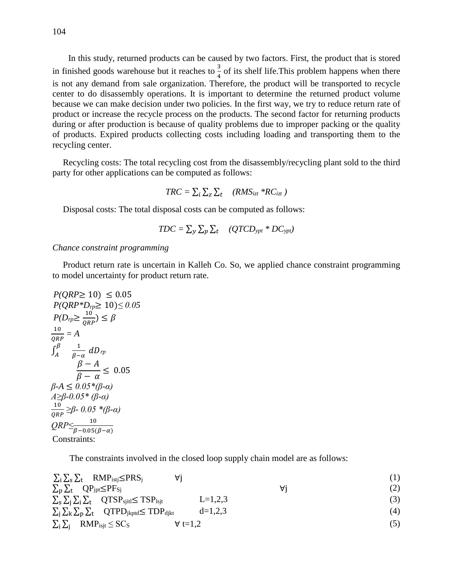In this study, returned products can be caused by two factors. First, the product that is stored in finished goods warehouse but it reaches to  $\frac{3}{4}$  $\frac{3}{4}$  of its shelf life. This problem happens when there is not any demand from sale organization. Therefore, the product will be transported to recycle center to do disassembly operations. It is important to determine the returned product volume because we can make decision under two policies. In the first way, we try to reduce return rate of product or increase the recycle process on the products. The second factor for returning products during or after production is because of quality problems due to improper packing or the quality of products. Expired products collecting costs including loading and transporting them to the recycling center.

Recycling costs: The total recycling cost from the disassembly/recycling plant sold to the third party for other applications can be computed as follows:

$$
TRC = \sum_{i} \sum_{z} \sum_{t} (RMS_{izt} * RC_{izt})
$$

Disposal costs: The total disposal costs can be computed as follows:

$$
TDC = \sum_{y} \sum_{p} \sum_{t} \quad (QTCD_{ypt} * DC_{ypt})
$$

*Chance constraint programming*

Product return rate is uncertain in Kalleh Co. So, we applied chance constraint programming to model uncertainty for product return rate.

$$
P(QRP \ge 10) \le 0.05
$$
  
\n
$$
P(QRP * D_{rp} \ge 10) \le 0.05
$$
  
\n
$$
P(D_{rp} \ge \frac{10}{QR}) \le \beta
$$
  
\n
$$
\frac{10}{QRP} = A
$$
  
\n
$$
\frac{\beta}{\beta - \alpha} dD_{rp}
$$
  
\n
$$
\frac{\beta - A}{\beta - \alpha} \le 0.05
$$
  
\n
$$
\beta - A \le 0.05 * (\beta - \alpha)
$$
  
\n
$$
A \ge \beta - 0.05 * (\beta - \alpha)
$$
  
\n
$$
\frac{10}{QRP} \le \beta - 0.05 * (\beta - \alpha)
$$
  
\n
$$
QRP \le \frac{10}{\beta - 0.05(\beta - \alpha)}
$$
  
\nConstraints:

The constraints involved in the closed loop supply chain model are as follows:

| $\sum_i \sum_s \sum_t$ RMP <sub>istj</sub> $\leq$ PRS <sub>j</sub>                 |                 |    |     |
|------------------------------------------------------------------------------------|-----------------|----|-----|
| $\sum_{\rm D}\sum_{\rm t}$ QP <sub>jpt</sub> $\leq$ PF <sub>Sj</sub>               |                 | A۱ | (2) |
| $\sum_{s}\sum_{i}\sum_{t}$ $QTSP_{sjit} \leq TSP_{lsjt}$                           | $L=1,2,3$       |    | (3) |
| $\sum_i \sum_k \sum_{p} \sum_{t}$ QTPD <sub>jkptd</sub> $\leq$ TDP <sub>djkt</sub> | $d=1,2,3$       |    | (4) |
| $\sum_i \sum_j$ RMP <sub>isjt</sub> $\leq$ SC <sub>S</sub>                         | $\forall$ t=1.2 |    | (5) |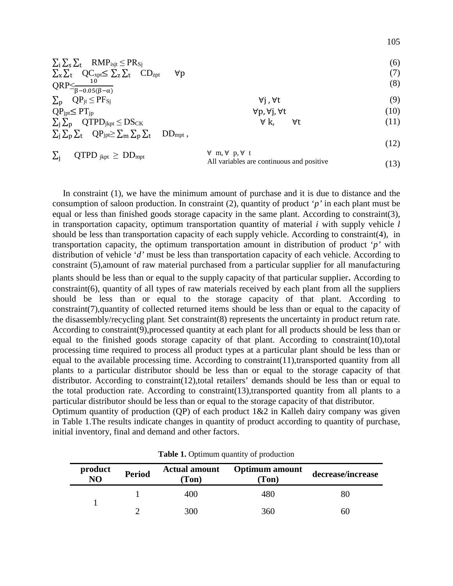| $\sum_i \sum_s \sum_t$ RMP <sub>isjt</sub> $\leq$ PR <sub>Sj</sub> |  |
|--------------------------------------------------------------------|--|
| <b>PP</b> 60 PP<br>$\sim$                                          |  |

$$
\Sigma_{\rm x} \Sigma_{\rm t} \quad \mathcal{Q}^{\mathcal{C}_{\rm xpt}}_{\mathcal{L}} \le \Sigma_{\rm z} \Sigma_{\rm t} \quad \mathcal{C}_{\rm Dzpt} \quad \forall \mathbf{p} \tag{7}
$$

- $\text{QRP} \leq \frac{10}{\beta 0.05(\beta \alpha)}$ (8)
- $\sum_{p} QP_{jt} \le PF_{Sj}$   $\forall j, \forall t$  (9)<br>  $QP_{jpt} \le PT_{jp}$   $\forall p, \forall j, \forall t$  (10)  $QP_{\text{ipt}} \le PT_{\text{jp}}$  (10)  $\Sigma_j \Sigma_p$  QTPD<sub>jkpt</sub>  $\leq$  DS<sub>CK</sub>  $\forall k$ ,  $\forall t$  (11)
- (12)  $\sum_{i} \sum_{p} \sum_{t} QP_{jpt} \geq \sum_{m} \sum_{p} \sum_{t} DD_{mpt}$

$$
\sum_{j} QTPD_{jkpt} \geq DD_{mpt} \qquad \qquad \forall \ m, \forall \ p, \forall t
$$
 All variables are continuous and positive (13)

In constraint (1), we have the minimum amount of purchase and it is due to distance and the consumption of saloon production. In constraint (2), quantity of product '*p'* in each plant must be equal or less than finished goods storage capacity in the same plant. According to constraint(3), in transportation capacity, optimum transportation quantity of material *i* with supply vehicle *l* should be less than transportation capacity of each supply vehicle. According to constraint(4), in transportation capacity, the optimum transportation amount in distribution of product '*p'* with distribution of vehicle '*d'* must be less than transportation capacity of each vehicle. According to constraint (5),amount of raw material purchased from a particular supplier for all manufacturing plants should be less than or equal to the supply capacity of that particular supplier. According to constraint(6), quantity of all types of raw materials received by each plant from all the suppliers should be less than or equal to the storage capacity of that plant. According to constraint(7),quantity of collected returned items should be less than or equal to the capacity of the disassembly/recycling plant. Set constraint(8) represents the uncertainty in product return rate. According to constraint(9),processed quantity at each plant for all products should be less than or equal to the finished goods storage capacity of that plant. According to constraint(10),total processing time required to process all product types at a particular plant should be less than or equal to the available processing time. According to constraint(11),transported quantity from all plants to a particular distributor should be less than or equal to the storage capacity of that distributor. According to constraint(12),total retailers' demands should be less than or equal to the total production rate. According to constraint(13),transported quantity from all plants to a particular distributor should be less than or equal to the storage capacity of that distributor. Optimum quantity of production (QP) of each product  $1\&2$  in Kalleh dairy company was given in Table 1.The results indicate changes in quantity of product according to quantity of purchase,

| product<br>NO | <b>Period</b> | <b>Actual amount</b><br>(Ton) | <b>Optimum</b> amount<br>(Ton) | decrease/increase |  |  |
|---------------|---------------|-------------------------------|--------------------------------|-------------------|--|--|
|               |               | 400                           | 480                            |                   |  |  |
|               |               | 300                           | 360                            | hС                |  |  |

**Table 1.** Optimum quantity of production

initial inventory, final and demand and other factors.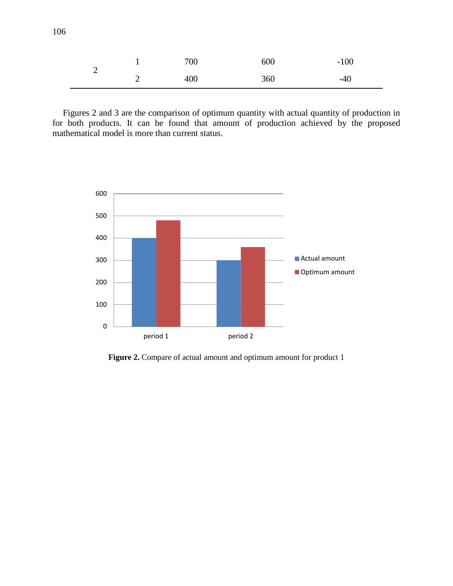|   |   | 700 | 600 | $-100$ |
|---|---|-----|-----|--------|
| ∽ | ∼ | 400 | 360 | $-40$  |

Figures 2 and 3 are the comparison of optimum quantity with actual quantity of production in for both products. It can be found that amount of production achieved by the proposed mathematical model is more than current status.



**Figure 2.** Compare of actual amount and optimum amount for product 1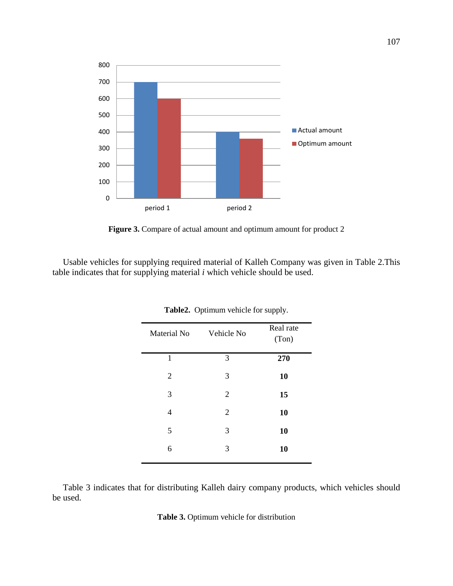

Figure 3. Compare of actual amount and optimum amount for product 2

Usable vehicles for supplying required material of Kalleh Company was given in Table 2.This table indicates that for supplying material *i* which vehicle should be used.

| Material No    | Vehicle No     | Real rate<br>(Ton) |
|----------------|----------------|--------------------|
| 1              | 3              | 270                |
| $\overline{2}$ | 3              | 10                 |
| 3              | 2              | 15                 |
| 4              | $\overline{2}$ | 10                 |
| 5              | 3              | 10                 |
| 6              | 3              | 10                 |
|                |                |                    |

**Table2.** Optimum vehicle for supply.

Table 3 indicates that for distributing Kalleh dairy company products, which vehicles should be used.

**Table 3.** Optimum vehicle for distribution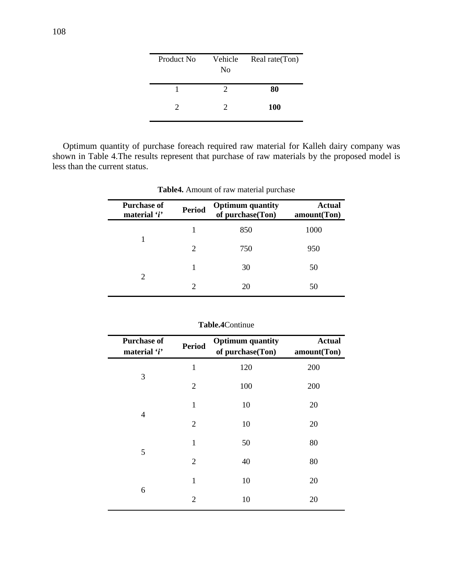| Product No. | Vehicle<br>N <sub>0</sub> | Real rate(Ton) |
|-------------|---------------------------|----------------|
|             |                           | 80             |
| 2           | 2                         | <b>100</b>     |

Optimum quantity of purchase foreach required raw material for Kalleh dairy company was shown in Table 4.The results represent that purchase of raw materials by the proposed model is less than the current status.

| <b>Purchase of</b><br>material 'i' | <b>Period</b> | <b>Optimum quantity</b><br>of purchase(Ton) | <b>Actual</b><br>amount(Ton) |
|------------------------------------|---------------|---------------------------------------------|------------------------------|
|                                    |               | 850                                         | 1000                         |
|                                    | 2             | 750                                         | 950                          |
|                                    |               | 30                                          | 50                           |
| 2                                  |               | 20                                          | 50                           |

**Table4.** Amount of raw material purchase

| <b>Purchase of</b><br>material 'i' | <b>Period</b>  | <b>Optimum</b> quantity<br>of purchase(Ton) | <b>Actual</b><br>amount(Ton) |
|------------------------------------|----------------|---------------------------------------------|------------------------------|
|                                    | $\mathbf{1}$   | 120                                         | 200                          |
| 3                                  | $\overline{2}$ | 100                                         | 200                          |
|                                    | $\mathbf{1}$   | 10                                          | 20                           |
| $\overline{4}$                     | $\overline{2}$ | 10                                          | 20                           |
|                                    | $\mathbf{1}$   | 50                                          | 80                           |
| 5                                  | $\overline{2}$ | 40                                          | 80                           |
|                                    | 1              | 10                                          | 20                           |
| 6                                  | $\overline{2}$ | 10                                          | 20                           |

**Table.4**Continue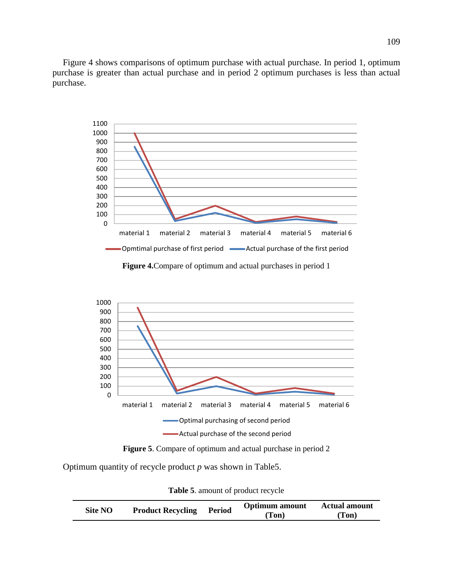Figure 4 shows comparisons of optimum purchase with actual purchase. In period 1, optimum purchase is greater than actual purchase and in period 2 optimum purchases is less than actual purchase.



**Figure 4.**Compare of optimum and actual purchases in period 1



**Figure 5**. Compare of optimum and actual purchase in period 2

Optimum quantity of recycle product *p* was shown in Table5.

**Table 5**. amount of product recycle

| Site NO |                          | Period | <b>Optimum</b> amount | <b>Actual amount</b> |
|---------|--------------------------|--------|-----------------------|----------------------|
|         | <b>Product Recycling</b> |        | (Ton)                 | (Ton)                |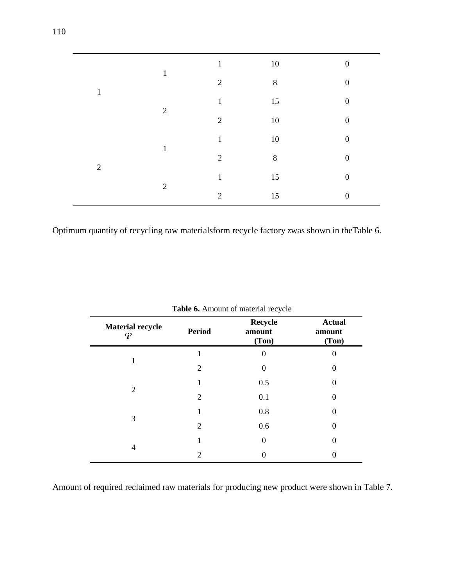| $\mathbf{1}$   | $\mathbf{1}$   | $\mathbf{1}$   | $10\,$  | $\boldsymbol{0}$ |
|----------------|----------------|----------------|---------|------------------|
|                |                | $\overline{2}$ | $8\,$   | $\boldsymbol{0}$ |
|                | $\overline{2}$ | $\mathbf{1}$   | 15      | $\boldsymbol{0}$ |
|                |                | $\overline{2}$ | $10\,$  | $\boldsymbol{0}$ |
| $\overline{2}$ | $\mathbf{1}$   | $\mathbf{1}$   | $10\,$  | $\boldsymbol{0}$ |
|                |                | $\overline{2}$ | $\,8\,$ | $\boldsymbol{0}$ |
|                | $\overline{2}$ | $\mathbf{1}$   | 15      | $\boldsymbol{0}$ |
|                |                | $\overline{2}$ | 15      | $\overline{0}$   |

Optimum quantity of recycling raw materialsform recycle factory *z*was shown in theTable 6.

| <b>Material recycle</b><br>$\mathbf{G}$ | <b>Period</b> | <b>Recycle</b><br>amount<br>(Ton) | <b>Actual</b><br>amount<br>(Ton) |
|-----------------------------------------|---------------|-----------------------------------|----------------------------------|
|                                         |               | 0                                 |                                  |
|                                         | 2             | 0                                 | $\theta$                         |
|                                         |               | 0.5                               | $\left( \right)$                 |
| $\overline{2}$                          | 2             | 0.1                               | $\Omega$                         |
|                                         |               | 0.8                               | $\theta$                         |
| 3                                       | 2             | 0.6                               | $\Omega$                         |
|                                         |               | 0                                 | 0                                |
| 4                                       | 2             |                                   |                                  |

Amount of required reclaimed raw materials for producing new product were shown in Table 7.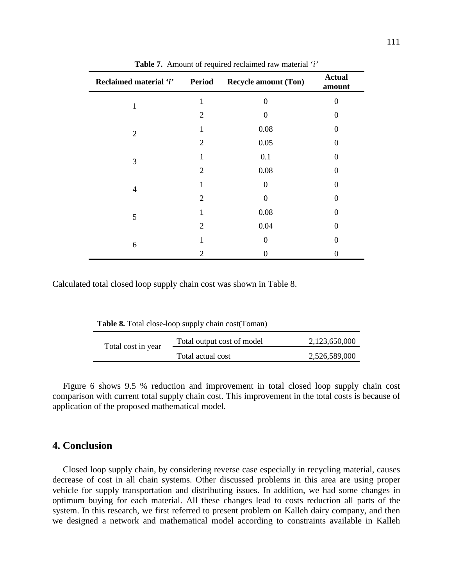| Reclaimed material 'i' Period | л.             | <b>Recycle amount (Ton)</b> | <b>Actual</b><br>amount |
|-------------------------------|----------------|-----------------------------|-------------------------|
| 1                             | 1              | 0                           | 0                       |
|                               | $\overline{2}$ | $\Omega$                    | $\Omega$                |
| $\overline{2}$                | 1              | 0.08                        | 0                       |
|                               | $\overline{2}$ | 0.05                        | $\Omega$                |
| 3                             | 1              | 0.1                         | $\Omega$                |
|                               | $\overline{2}$ | 0.08                        | 0                       |
| 4                             | 1              | 0                           | 0                       |
|                               | $\overline{2}$ | 0                           | 0                       |
| $\mathfrak{S}$                | 1              | $0.08\,$                    | 0                       |
|                               | $\overline{2}$ | 0.04                        | 0                       |
| 6                             | 1              | $\theta$                    | $\Omega$                |
|                               | 2              | $\theta$                    | 0                       |

**Table 7.** Amount of required reclaimed raw material '*i'*

Calculated total closed loop supply chain cost was shown in Table 8.

**Table 8.** Total close-loop supply chain cost(Toman)

| Total cost in year | Total output cost of model | 2,123,650,000 |
|--------------------|----------------------------|---------------|
|                    | Total actual cost          | 2,526,589,000 |

Figure 6 shows 9.5 % reduction and improvement in total closed loop supply chain cost comparison with current total supply chain cost. This improvement in the total costs is because of application of the proposed mathematical model.

### **4. Conclusion**

Closed loop supply chain, by considering reverse case especially in recycling material, causes decrease of cost in all chain systems. Other discussed problems in this area are using proper vehicle for supply transportation and distributing issues. In addition, we had some changes in optimum buying for each material. All these changes lead to costs reduction all parts of the system. In this research, we first referred to present problem on Kalleh dairy company, and then we designed a network and mathematical model according to constraints available in Kalleh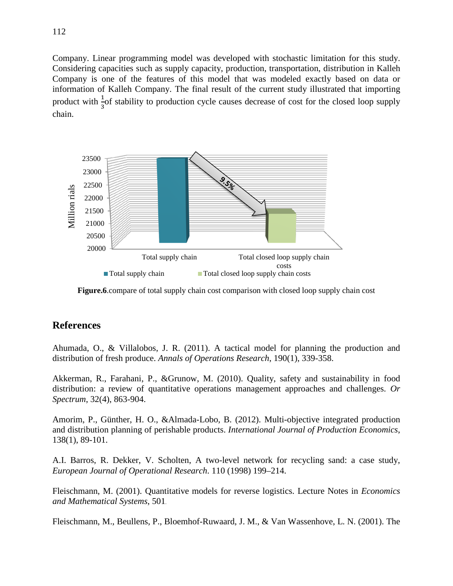Company. Linear programming model was developed with stochastic limitation for this study. Considering capacities such as supply capacity, production, transportation, distribution in Kalleh Company is one of the features of this model that was modeled exactly based on data or information of Kalleh Company. The final result of the current study illustrated that importing product with  $\frac{1}{2}$  of stability to production cycle causes decrease of cost for the closed loop supply 3 chain.



**Figure.6**.compare of total supply chain cost comparison with closed loop supply chain cost

# **References**

Ahumada, O., & Villalobos, J. R. (2011). A tactical model for planning the production and distribution of fresh produce. *Annals of Operations Research*, 190(1), 339-358.

Akkerman, R., Farahani, P., &Grunow, M. (2010). Quality, safety and sustainability in food distribution: a review of quantitative operations management approaches and challenges. *Or Spectrum*, 32(4), 863-904.

Amorim, P., Günther, H. O., &Almada-Lobo, B. (2012). Multi-objective integrated production and distribution planning of perishable products. *International Journal of Production Economics*, 138(1), 89-101.

A.I. Barros, R. Dekker, V. Scholten, A two-level network for recycling sand: a case study, *European Journal of Operational Research*. 110 (1998) 199–214.

Fleischmann, M. (2001). Quantitative models for reverse logistics. Lecture Notes in *Economics and Mathematical Systems*, 501.

Fleischmann, M., Beullens, P., Bloemhof-Ruwaard, J. M., & Van Wassenhove, L. N. (2001). The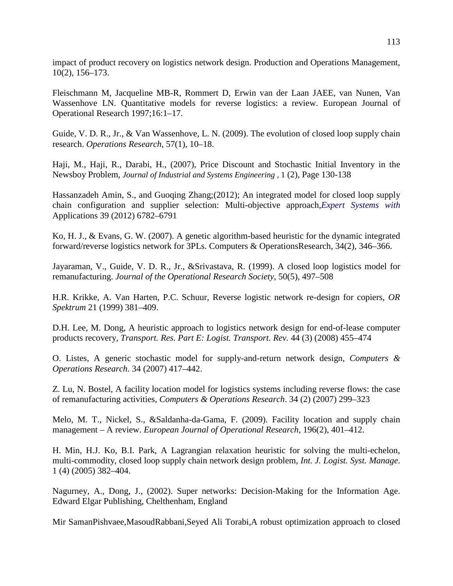impact of product recovery on logistics network design. Production and Operations Management, 10(2), 156–173.

Fleischmann M, Jacqueline MB-R, Rommert D, Erwin van der Laan JAEE, van Nunen, Van Wassenhove LN. Quantitative models for reverse logistics: a review. European Journal of Operational Research 1997;16:1–17.

Guide, V. D. R., Jr., & Van Wassenhove, L. N. (2009). The evolution of closed loop supply chain research. *Operations Research*, 57(1), 10–18.

Haji, M., Haji, R., Darabi, H., (2007), Price Discount and Stochastic Initial Inventory in the Newsboy Problem, *Journal of Industrial and Systems Engineering* , 1 (2), Page 130-138

Hassanzadeh Amin, S., and Guoqing Zhang;(2012); An integrated model for closed loop supply chain configuration and supplier selection: Multi-objective approach,*Expert Systems with*  Applications 39 (2012) 6782–6791

Ko, H. J., & Evans, G. W. (2007). A genetic algorithm-based heuristic for the dynamic integrated forward/reverse logistics network for 3PLs. Computers & OperationsResearch, 34(2), 346–366.

Jayaraman, V., Guide, V. D. R., Jr., &Srivastava, R. (1999). A closed loop logistics model for remanufacturing. *Journal of the Operational Research Society*, 50(5), 497–508

H.R. Krikke, A. Van Harten, P.C. Schuur, Reverse logistic network re-design for copiers, *OR Spektrum* 21 (1999) 381–409.

D.H. Lee, M. Dong, A heuristic approach to logistics network design for end-of-lease computer products recovery, *Transport. Res. Part E: Logist. Transport. Rev.* 44 (3) (2008) 455–474

O. Listes, A generic stochastic model for supply-and-return network design, *Computers & Operations Research*. 34 (2007) 417–442.

Z. Lu, N. Bostel, A facility location model for logistics systems including reverse flows: the case of remanufacturing activities, *Computers & Operations Research*. 34 (2) (2007) 299–323

Melo, M. T., Nickel, S., &Saldanha-da-Gama, F. (2009). Facility location and supply chain management – A review. *European Journal of Operational Research*, 196(2), 401–412.

H. Min, H.J. Ko, B.I. Park, A Lagrangian relaxation heuristic for solving the multi-echelon, multi-commodity, closed loop supply chain network design problem, *Int. J. Logist. Syst. Manage*. 1 (4) (2005) 382–404.

Nagurney, A., Dong, J., (2002). Super networks: Decision-Making for the Information Age. Edward Elgar Publishing, Chelthenham, England

Mir SamanPishvaee,MasoudRabbani,Seyed Ali Torabi,A robust optimization approach to closed